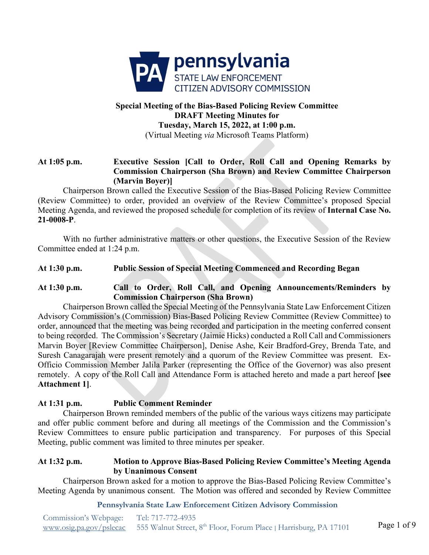

# **Special Meeting of the Bias-Based Policing Review Committee DRAFT Meeting Minutes for Tuesday, March 15, 2022, at 1:00 p.m.**  (Virtual Meeting *via* Microsoft Teams Platform)

# **At 1:05 p.m. Executive Session [Call to Order, Roll Call and Opening Remarks by Commission Chairperson (Sha Brown) and Review Committee Chairperson (Marvin Boyer)]**

Chairperson Brown called the Executive Session of the Bias-Based Policing Review Committee (Review Committee) to order, provided an overview of the Review Committee's proposed Special Meeting Agenda, and reviewed the proposed schedule for completion of its review of **Internal Case No. 21-0008-P**.

With no further administrative matters or other questions, the Executive Session of the Review Committee ended at 1:24 p.m.

# **At 1:30 p.m. Public Session of Special Meeting Commenced and Recording Began**

# **At 1:30 p.m. Call to Order, Roll Call, and Opening Announcements/Reminders by Commission Chairperson (Sha Brown)**

Chairperson Brown called the Special Meeting of the Pennsylvania State Law Enforcement Citizen Advisory Commission's (Commission) Bias-Based Policing Review Committee (Review Committee) to order, announced that the meeting was being recorded and participation in the meeting conferred consent to being recorded. The Commission's Secretary (Jaimie Hicks) conducted a Roll Call and Commissioners Marvin Boyer [Review Committee Chairperson], Denise Ashe, Keir Bradford-Grey, Brenda Tate, and Suresh Canagarajah were present remotely and a quorum of the Review Committee was present. Ex-Officio Commission Member Jalila Parker (representing the Office of the Governor) was also present remotely. A copy of the Roll Call and Attendance Form is attached hereto and made a part hereof **[see Attachment 1]**.

# **At 1:31 p.m. Public Comment Reminder**

Chairperson Brown reminded members of the public of the various ways citizens may participate and offer public comment before and during all meetings of the Commission and the Commission's Review Committees to ensure public participation and transparency. For purposes of this Special Meeting, public comment was limited to three minutes per speaker.

## **At 1:32 p.m. Motion to Approve Bias-Based Policing Review Committee's Meeting Agenda by Unanimous Consent**

Chairperson Brown asked for a motion to approve the Bias-Based Policing Review Committee's Meeting Agenda by unanimous consent. The Motion was offered and seconded by Review Committee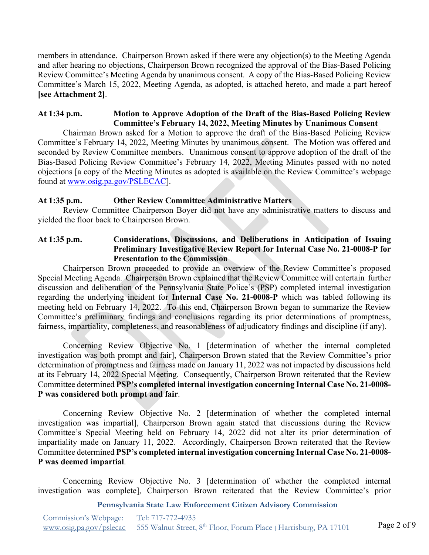members in attendance. Chairperson Brown asked if there were any objection(s) to the Meeting Agenda and after hearing no objections, Chairperson Brown recognized the approval of the Bias-Based Policing Review Committee's Meeting Agenda by unanimous consent. A copy of the Bias-Based Policing Review Committee's March 15, 2022, Meeting Agenda, as adopted, is attached hereto, and made a part hereof **[see Attachment 2]**.

## **At 1:34 p.m. Motion to Approve Adoption of the Draft of the Bias-Based Policing Review Committee's February 14, 2022, Meeting Minutes by Unanimous Consent**

Chairman Brown asked for a Motion to approve the draft of the Bias-Based Policing Review Committee's February 14, 2022, Meeting Minutes by unanimous consent. The Motion was offered and seconded by Review Committee members. Unanimous consent to approve adoption of the draft of the Bias-Based Policing Review Committee's February 14, 2022, Meeting Minutes passed with no noted objections [a copy of the Meeting Minutes as adopted is available on the Review Committee's webpage found at [www.osig.pa.gov/PSLECAC\]](http://www.osig.pa.gov/PSLECAC).

## **At 1:35 p.m. Other Review Committee Administrative Matters**

Review Committee Chairperson Boyer did not have any administrative matters to discuss and yielded the floor back to Chairperson Brown.

## **At 1:35 p.m. Considerations, Discussions, and Deliberations in Anticipation of Issuing Preliminary Investigative Review Report for Internal Case No. 21-0008-P for Presentation to the Commission**

Chairperson Brown proceeded to provide an overview of the Review Committee's proposed Special Meeting Agenda. Chairperson Brown explained that the Review Committee will entertain further discussion and deliberation of the Pennsylvania State Police's (PSP) completed internal investigation regarding the underlying incident for **Internal Case No. 21-0008-P** which was tabled following its meeting held on February 14, 2022. To this end, Chairperson Brown began to summarize the Review Committee's preliminary findings and conclusions regarding its prior determinations of promptness, fairness, impartiality, completeness, and reasonableness of adjudicatory findings and discipline (if any).

Concerning Review Objective No. 1 [determination of whether the internal completed investigation was both prompt and fair], Chairperson Brown stated that the Review Committee's prior determination of promptness and fairness made on January 11, 2022 was not impacted by discussions held at its February 14, 2022 Special Meeting. Consequently, Chairperson Brown reiterated that the Review Committee determined **PSP's completed internal investigation concerning Internal Case No. 21-0008- P was considered both prompt and fair**.

Concerning Review Objective No. 2 [determination of whether the completed internal investigation was impartial], Chairperson Brown again stated that discussions during the Review Committee's Special Meeting held on February 14, 2022 did not alter its prior determination of impartiality made on January 11, 2022. Accordingly, Chairperson Brown reiterated that the Review Committee determined **PSP's completed internal investigation concerning Internal Case No. 21-0008- P was deemed impartial**.

Concerning Review Objective No. 3 [determination of whether the completed internal investigation was complete], Chairperson Brown reiterated that the Review Committee's prior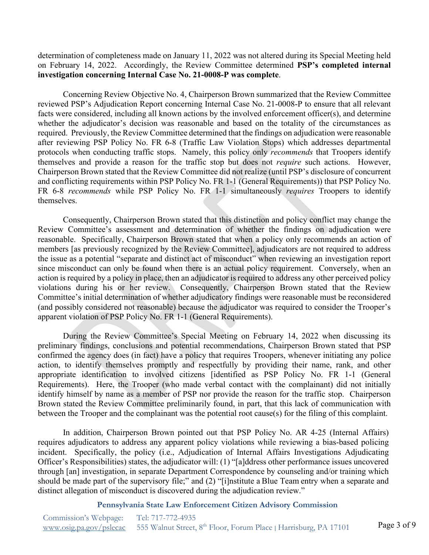determination of completeness made on January 11, 2022 was not altered during its Special Meeting held on February 14, 2022. Accordingly, the Review Committee determined **PSP's completed internal investigation concerning Internal Case No. 21-0008-P was complete**.

Concerning Review Objective No. 4, Chairperson Brown summarized that the Review Committee reviewed PSP's Adjudication Report concerning Internal Case No. 21-0008-P to ensure that all relevant facts were considered, including all known actions by the involved enforcement officer(s), and determine whether the adjudicator's decision was reasonable and based on the totality of the circumstances as required. Previously, the Review Committee determined that the findings on adjudication were reasonable after reviewing PSP Policy No. FR 6-8 (Traffic Law Violation Stops) which addresses departmental protocols when conducting traffic stops. Namely, this policy only *recommends* that Troopers identify themselves and provide a reason for the traffic stop but does not *require* such actions. However, Chairperson Brown stated that the Review Committee did not realize (until PSP's disclosure of concurrent and conflicting requirements within PSP Policy No. FR 1-1 (General Requirements)) that PSP Policy No. FR 6-8 *recommends* while PSP Policy No. FR 1-1 simultaneously *requires* Troopers to identify themselves.

Consequently, Chairperson Brown stated that this distinction and policy conflict may change the Review Committee's assessment and determination of whether the findings on adjudication were reasonable. Specifically, Chairperson Brown stated that when a policy only recommends an action of members [as previously recognized by the Review Committee], adjudicators are not required to address the issue as a potential "separate and distinct act of misconduct" when reviewing an investigation report since misconduct can only be found when there is an actual policy requirement. Conversely, when an action is required by a policy in place, then an adjudicator is required to address any other perceived policy violations during his or her review. Consequently, Chairperson Brown stated that the Review Committee's initial determination of whether adjudicatory findings were reasonable must be reconsidered (and possibly considered not reasonable) because the adjudicator was required to consider the Trooper's apparent violation of PSP Policy No. FR 1-1 (General Requirements).

During the Review Committee's Special Meeting on February 14, 2022 when discussing its preliminary findings, conclusions and potential recommendations, Chairperson Brown stated that PSP confirmed the agency does (in fact) have a policy that requires Troopers, whenever initiating any police action, to identify themselves promptly and respectfully by providing their name, rank, and other appropriate identification to involved citizens [identified as PSP Policy No. FR 1-1 (General Requirements). Here, the Trooper (who made verbal contact with the complainant) did not initially identify himself by name as a member of PSP nor provide the reason for the traffic stop. Chairperson Brown stated the Review Committee preliminarily found, in part, that this lack of communication with between the Trooper and the complainant was the potential root cause(s) for the filing of this complaint.

In addition, Chairperson Brown pointed out that PSP Policy No. AR 4-25 (Internal Affairs) requires adjudicators to address any apparent policy violations while reviewing a bias-based policing incident. Specifically, the policy (i.e., Adjudication of Internal Affairs Investigations Adjudicating Officer's Responsibilities) states, the adjudicator will: (1) "[a]ddress other performance issues uncovered through [an] investigation, in separate Department Correspondence by counseling and/or training which should be made part of the supervisory file;" and (2) "[i]nstitute a Blue Team entry when a separate and distinct allegation of misconduct is discovered during the adjudication review."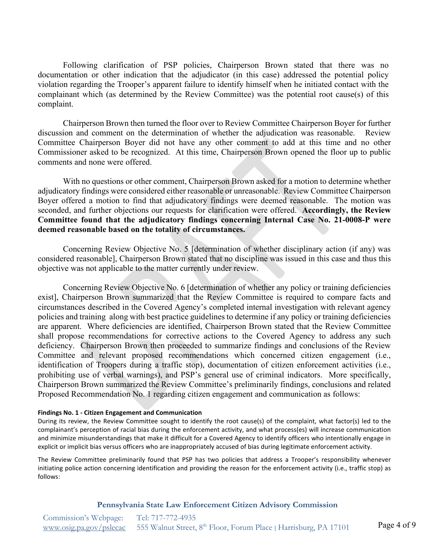Following clarification of PSP policies, Chairperson Brown stated that there was no documentation or other indication that the adjudicator (in this case) addressed the potential policy violation regarding the Trooper's apparent failure to identify himself when he initiated contact with the complainant which (as determined by the Review Committee) was the potential root cause(s) of this complaint.

Chairperson Brown then turned the floor over to Review Committee Chairperson Boyer for further discussion and comment on the determination of whether the adjudication was reasonable. Review Committee Chairperson Boyer did not have any other comment to add at this time and no other Commissioner asked to be recognized. At this time, Chairperson Brown opened the floor up to public comments and none were offered.

With no questions or other comment, Chairperson Brown asked for a motion to determine whether adjudicatory findings were considered either reasonable or unreasonable. Review Committee Chairperson Boyer offered a motion to find that adjudicatory findings were deemed reasonable. The motion was seconded, and further objections our requests for clarification were offered. **Accordingly, the Review Committee found that the adjudicatory findings concerning Internal Case No. 21-0008-P were deemed reasonable based on the totality of circumstances.** 

Concerning Review Objective No. 5 [determination of whether disciplinary action (if any) was considered reasonable], Chairperson Brown stated that no discipline was issued in this case and thus this objective was not applicable to the matter currently under review.

Concerning Review Objective No. 6 [determination of whether any policy or training deficiencies exist], Chairperson Brown summarized that the Review Committee is required to compare facts and circumstances described in the Covered Agency's completed internal investigation with relevant agency policies and training along with best practice guidelines to determine if any policy or training deficiencies are apparent. Where deficiencies are identified, Chairperson Brown stated that the Review Committee shall propose recommendations for corrective actions to the Covered Agency to address any such deficiency. Chairperson Brown then proceeded to summarize findings and conclusions of the Review Committee and relevant proposed recommendations which concerned citizen engagement (i.e., identification of Troopers during a traffic stop), documentation of citizen enforcement activities (i.e., prohibiting use of verbal warnings), and PSP's general use of criminal indicators. More specifically, Chairperson Brown summarized the Review Committee's preliminarily findings, conclusions and related Proposed Recommendation No. 1 regarding citizen engagement and communication as follows:

#### **Findings No. 1 - Citizen Engagement and Communication**

During its review, the Review Committee sought to identify the root cause(s) of the complaint, what factor(s) led to the complainant's perception of racial bias during the enforcement activity, and what process(es) will increase communication and minimize misunderstandings that make it difficult for a Covered Agency to identify officers who intentionally engage in explicit or implicit bias versus officers who are inappropriately accused of bias during legitimate enforcement activity.

The Review Committee preliminarily found that PSP has two policies that address a Trooper's responsibility whenever initiating police action concerning identification and providing the reason for the enforcement activity (i.e., traffic stop) as follows: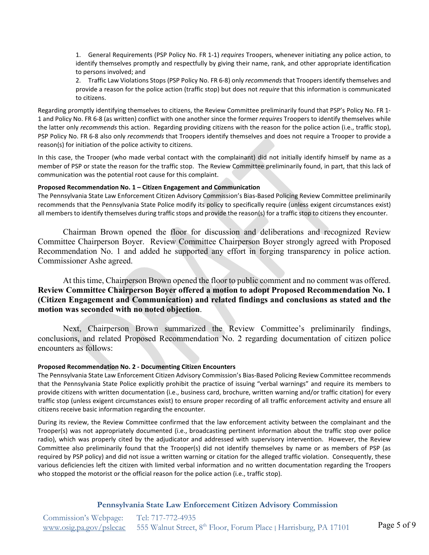1. General Requirements (PSP Policy No. FR 1-1) *requires* Troopers, whenever initiating any police action, to identify themselves promptly and respectfully by giving their name, rank, and other appropriate identification to persons involved; and

2. Traffic Law Violations Stops (PSP Policy No. FR 6-8) only *recommends* that Troopers identify themselves and provide a reason for the police action (traffic stop) but does not *require* that this information is communicated to citizens.

Regarding promptly identifying themselves to citizens, the Review Committee preliminarily found that PSP's Policy No. FR 1- 1 and Policy No. FR 6-8 (as written) conflict with one another since the former *requires* Troopers to identify themselves while the latter only *recommends* this action. Regarding providing citizens with the reason for the police action (i.e., traffic stop), PSP Policy No. FR 6-8 also only *recommends* that Troopers identify themselves and does not require a Trooper to provide a reason(s) for initiation of the police activity to citizens.

In this case, the Trooper (who made verbal contact with the complainant) did not initially identify himself by name as a member of PSP or state the reason for the traffic stop. The Review Committee preliminarily found, in part, that this lack of communication was the potential root cause for this complaint.

#### **Proposed Recommendation No. 1 – Citizen Engagement and Communication**

The Pennsylvania State Law Enforcement Citizen Advisory Commission's Bias-Based Policing Review Committee preliminarily recommends that the Pennsylvania State Police modify its policy to specifically require (unless exigent circumstances exist) all members to identify themselves during traffic stops and provide the reason(s) for a traffic stop to citizens they encounter.

Chairman Brown opened the floor for discussion and deliberations and recognized Review Committee Chairperson Boyer. Review Committee Chairperson Boyer strongly agreed with Proposed Recommendation No. 1 and added he supported any effort in forging transparency in police action. Commissioner Ashe agreed.

At this time, Chairperson Brown opened the floor to public comment and no comment was offered. **Review Committee Chairperson Boyer offered a motion to adopt Proposed Recommendation No. 1 (Citizen Engagement and Communication) and related findings and conclusions as stated and the motion was seconded with no noted objection**.

Next, Chairperson Brown summarized the Review Committee's preliminarily findings, conclusions, and related Proposed Recommendation No. 2 regarding documentation of citizen police encounters as follows:

#### **Proposed Recommendation No. 2 - Documenting Citizen Encounters**

The Pennsylvania State Law Enforcement Citizen Advisory Commission's Bias-Based Policing Review Committee recommends that the Pennsylvania State Police explicitly prohibit the practice of issuing "verbal warnings" and require its members to provide citizens with written documentation (i.e., business card, brochure, written warning and/or traffic citation) for every traffic stop (unless exigent circumstances exist) to ensure proper recording of all traffic enforcement activity and ensure all citizens receive basic information regarding the encounter.

During its review, the Review Committee confirmed that the law enforcement activity between the complainant and the Trooper(s) was not appropriately documented (i.e., broadcasting pertinent information about the traffic stop over police radio), which was properly cited by the adjudicator and addressed with supervisory intervention. However, the Review Committee also preliminarily found that the Trooper(s) did not identify themselves by name or as members of PSP (as required by PSP policy) and did not issue a written warning or citation for the alleged traffic violation. Consequently, these various deficiencies left the citizen with limited verbal information and no written documentation regarding the Troopers who stopped the motorist or the official reason for the police action (i.e., traffic stop).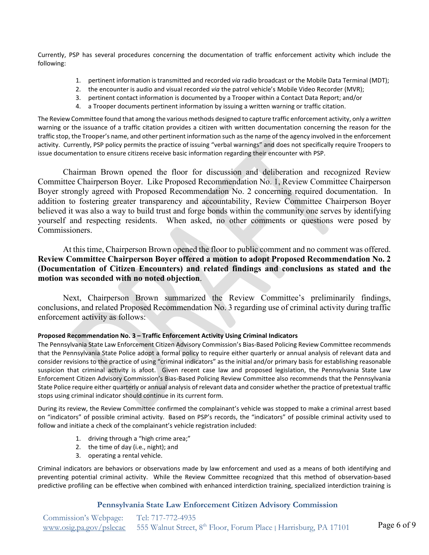Currently, PSP has several procedures concerning the documentation of traffic enforcement activity which include the following:

- 1. pertinent information is transmitted and recorded *via* radio broadcast or the Mobile Data Terminal (MDT);
- 2. the encounter is audio and visual recorded *via* the patrol vehicle's Mobile Video Recorder (MVR);
- 3. pertinent contact information is documented by a Trooper within a Contact Data Report; and/or
- 4. a Trooper documents pertinent information by issuing a written warning or traffic citation.

The Review Committee found that among the various methods designed to capture traffic enforcement activity, only a *written* warning or the issuance of a traffic citation provides a citizen with written documentation concerning the reason for the traffic stop, the Trooper's name, and other pertinent information such as the name of the agency involved in the enforcement activity. Currently, PSP policy permits the practice of issuing "verbal warnings" and does not specifically require Troopers to issue documentation to ensure citizens receive basic information regarding their encounter with PSP.

Chairman Brown opened the floor for discussion and deliberation and recognized Review Committee Chairperson Boyer. Like Proposed Recommendation No. 1, Review Committee Chairperson Boyer strongly agreed with Proposed Recommendation No. 2 concerning required documentation. In addition to fostering greater transparency and accountability, Review Committee Chairperson Boyer believed it was also a way to build trust and forge bonds within the community one serves by identifying yourself and respecting residents. When asked, no other comments or questions were posed by Commissioners.

At this time, Chairperson Brown opened the floor to public comment and no comment was offered. **Review Committee Chairperson Boyer offered a motion to adopt Proposed Recommendation No. 2 (Documentation of Citizen Encounters) and related findings and conclusions as stated and the motion was seconded with no noted objection**.

Next, Chairperson Brown summarized the Review Committee's preliminarily findings, conclusions, and related Proposed Recommendation No. 3 regarding use of criminal activity during traffic enforcement activity as follows:

#### **Proposed Recommendation No. 3 – Traffic Enforcement Activity Using Criminal Indicators**

The Pennsylvania State Law Enforcement Citizen Advisory Commission's Bias-Based Policing Review Committee recommends that the Pennsylvania State Police adopt a formal policy to require either quarterly or annual analysis of relevant data and consider revisions to the practice of using "criminal indicators" as the initial and/or primary basis for establishing reasonable suspicion that criminal activity is afoot. Given recent case law and proposed legislation, the Pennsylvania State Law Enforcement Citizen Advisory Commission's Bias-Based Policing Review Committee also recommends that the Pennsylvania State Police require either quarterly or annual analysis of relevant data and consider whether the practice of pretextual traffic stops using criminal indicator should continue in its current form.

During its review, the Review Committee confirmed the complainant's vehicle was stopped to make a criminal arrest based on "indicators" of possible criminal activity. Based on PSP's records, the "indicators" of possible criminal activity used to follow and initiate a check of the complainant's vehicle registration included:

- 1. driving through a "high crime area;"
- 2. the time of day (i.e., night); and
- 3. operating a rental vehicle.

Criminal indicators are behaviors or observations made by law enforcement and used as a means of both identifying and preventing potential criminal activity. While the Review Committee recognized that this method of observation-based predictive profiling can be effective when combined with enhanced interdiction training, specialized interdiction training is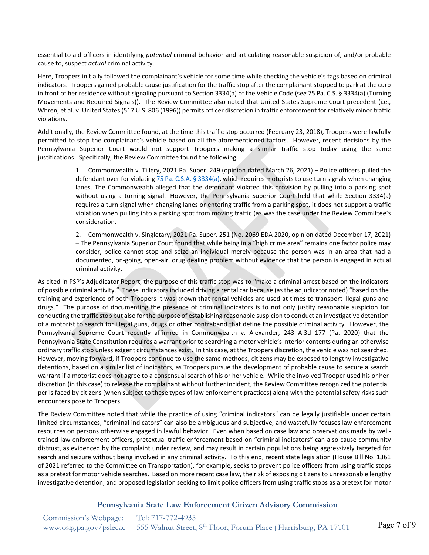essential to aid officers in identifying *potential* criminal behavior and articulating reasonable suspicion of, and/or probable cause to, suspect *actual* criminal activity.

Here, Troopers initially followed the complainant's vehicle for some time while checking the vehicle's tags based on criminal indicators. Troopers gained probable cause justification for the traffic stop after the complainant stopped to park at the curb in front of her residence without signaling pursuant to Section 3334(a) of the Vehicle Code (s*ee* 75 Pa. C.S. § 3334(a) (Turning Movements and Required Signals)). The Review Committee also noted that United States Supreme Court precedent (i.e., Whren, et al. v. United States (517 U.S. 806 (1996)) permits officer discretion in traffic enforcement for relatively minor traffic violations.

Additionally, the Review Committee found, at the time this traffic stop occurred (February 23, 2018), Troopers were lawfully permitted to stop the complainant's vehicle based on all the aforementioned factors. However, recent decisions by the Pennsylvania Superior Court would not support Troopers making a similar traffic stop today using the same justifications. Specifically, the Review Committee found the following:

> 1. Commonwealth v. Tillery, 2021 Pa. Super. 249 (opinion dated March 26, 2021) – Police officers pulled the defendant over for violating 75 Pa. [C.S.A. § 3334\(a\),](https://www.legis.state.pa.us/cfdocs/legis/LI/consCheck.cfm?txtType=HTM&ttl=75&div=0&chpt=33&sctn=34&subsctn=0) which requires motorists to use turn signals when changing lanes. The Commonwealth alleged that the defendant violated this provision by pulling into a parking spot without using a turning signal. However, the Pennsylvania Superior Court held that while Section 3334(a) requires a turn signal when changing lanes or entering traffic from a parking spot, it does not support a traffic violation when pulling into a parking spot from moving traffic (as was the case under the Review Committee's consideration.

> 2. Commonwealth v. Singletary, 2021 Pa. Super. 251 (No. 2069 EDA 2020, opinion dated December 17, 2021) – The Pennsylvania Superior Court found that while being in a "high crime area" remains one factor police may consider, police cannot stop and seize an individual merely because the person was in an area that had a documented, on-going, open-air, drug dealing problem without evidence that the person is engaged in actual criminal activity.

As cited in PSP's Adjudicator Report, the purpose of this traffic stop was to "make a criminal arrest based on the indicators of possible criminal activity." These indicators included driving a rental car because (as the adjudicator noted) "based on the training and experience of both Troopers it was known that rental vehicles are used at times to transport illegal guns and drugs." The purpose of documenting the presence of criminal indicators is to not only justify reasonable suspicion for conducting the traffic stop but also for the purpose of establishing reasonable suspicion to conduct an investigative detention of a motorist to search for illegal guns, drugs or other contraband that define the possible criminal activity. However, the Pennsylvania Supreme Court recently affirmed in Commonwealth v. Alexander, 243 A.3d 177 (Pa. 2020) that the Pennsylvania State Constitution requires a warrant prior to searching a motor vehicle's interior contents during an otherwise ordinary traffic stop unless exigent circumstances exist. In this case, at the Troopers discretion, the vehicle was not searched. However, moving forward, if Troopers continue to use the same methods, citizens may be exposed to lengthy investigative detentions, based on a similar list of indicators, as Troopers pursue the development of probable cause to secure a search warrant if a motorist does not agree to a consensual search of his or her vehicle. While the involved Trooper used his or her discretion (in this case) to release the complainant without further incident, the Review Committee recognized the potential perils faced by citizens (when subject to these types of law enforcement practices) along with the potential safety risks such encounters pose to Troopers.

The Review Committee noted that while the practice of using "criminal indicators" can be legally justifiable under certain limited circumstances, "criminal indicators" can also be ambiguous and subjective, and wastefully focuses law enforcement resources on persons otherwise engaged in lawful behavior. Even when based on case law and observations made by welltrained law enforcement officers, pretextual traffic enforcement based on "criminal indicators" can also cause community distrust, as evidenced by the complaint under review, and may result in certain populations being aggressively targeted for search and seizure without being involved in any criminal activity. To this end, recent state legislation (House Bill No. 1361 of 2021 referred to the Committee on Transportation), for example, seeks to prevent police officers from using traffic stops as a pretext for motor vehicle searches. Based on more recent case law, the risk of exposing citizens to unreasonable lengthy investigative detention, and proposed legislation seeking to limit police officers from using traffic stops as a pretext for motor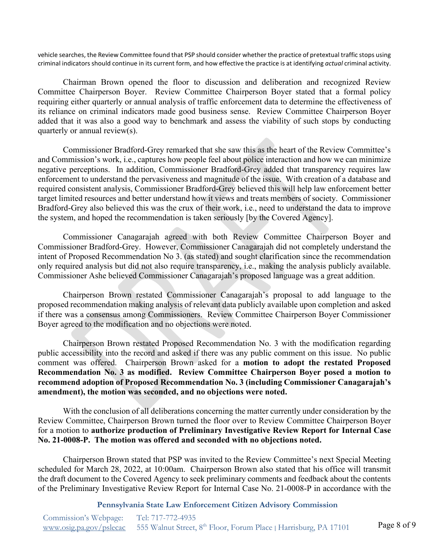vehicle searches, the Review Committee found that PSP should consider whether the practice of pretextual traffic stops using criminal indicators should continue in its current form, and how effective the practice is at identifying *actual* criminal activity.

Chairman Brown opened the floor to discussion and deliberation and recognized Review Committee Chairperson Boyer. Review Committee Chairperson Boyer stated that a formal policy requiring either quarterly or annual analysis of traffic enforcement data to determine the effectiveness of its reliance on criminal indicators made good business sense. Review Committee Chairperson Boyer added that it was also a good way to benchmark and assess the viability of such stops by conducting quarterly or annual review(s).

Commissioner Bradford-Grey remarked that she saw this as the heart of the Review Committee's and Commission's work, i.e., captures how people feel about police interaction and how we can minimize negative perceptions. In addition, Commissioner Bradford-Grey added that transparency requires law enforcement to understand the pervasiveness and magnitude of the issue. With creation of a database and required consistent analysis, Commissioner Bradford-Grey believed this will help law enforcement better target limited resources and better understand how it views and treats members of society. Commissioner Bradford-Grey also believed this was the crux of their work, i.e., need to understand the data to improve the system, and hoped the recommendation is taken seriously [by the Covered Agency].

Commissioner Canagarajah agreed with both Review Committee Chairperson Boyer and Commissioner Bradford-Grey. However, Commissioner Canagarajah did not completely understand the intent of Proposed Recommendation No 3. (as stated) and sought clarification since the recommendation only required analysis but did not also require transparency, i.e., making the analysis publicly available. Commissioner Ashe believed Commissioner Canagarajah's proposed language was a great addition.

Chairperson Brown restated Commissioner Canagarajah's proposal to add language to the proposed recommendation making analysis of relevant data publicly available upon completion and asked if there was a consensus among Commissioners. Review Committee Chairperson Boyer Commissioner Boyer agreed to the modification and no objections were noted.

Chairperson Brown restated Proposed Recommendation No. 3 with the modification regarding public accessibility into the record and asked if there was any public comment on this issue. No public comment was offered. Chairperson Brown asked for a **motion to adopt the restated Proposed Recommendation No. 3 as modified. Review Committee Chairperson Boyer posed a motion to recommend adoption of Proposed Recommendation No. 3 (including Commissioner Canagarajah's amendment), the motion was seconded, and no objections were noted.** 

With the conclusion of all deliberations concerning the matter currently under consideration by the Review Committee, Chairperson Brown turned the floor over to Review Committee Chairperson Boyer for a motion to **authorize production of Preliminary Investigative Review Report for Internal Case No. 21-0008-P. The motion was offered and seconded with no objections noted.** 

Chairperson Brown stated that PSP was invited to the Review Committee's next Special Meeting scheduled for March 28, 2022, at 10:00am. Chairperson Brown also stated that his office will transmit the draft document to the Covered Agency to seek preliminary comments and feedback about the contents of the Preliminary Investigative Review Report for Internal Case No. 21-0008-P in accordance with the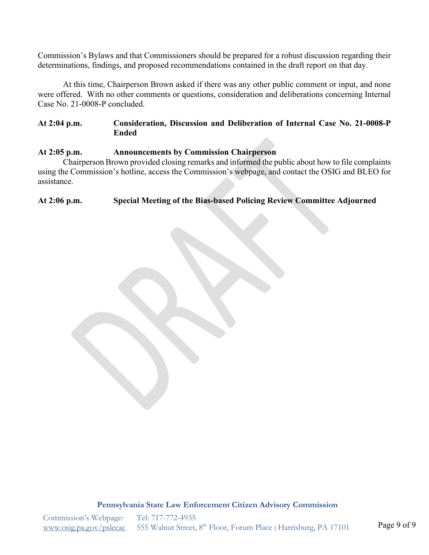Commission's Bylaws and that Commissioners should be prepared for a robust discussion regarding their determinations, findings, and proposed recommendations contained in the draft report on that day.

At this time, Chairperson Brown asked if there was any other public comment or input, and none were offered. With no other comments or questions, consideration and deliberations concerning Internal Case No. 21-0008-P concluded.

## **At 2:04 p.m. Consideration, Discussion and Deliberation of Internal Case No. 21-0008-P Ended**

## **At 2:05 p.m. Announcements by Commission Chairperson**

Chairperson Brown provided closing remarks and informed the public about how to file complaints using the Commission's hotline, access the Commission's webpage, and contact the OSIG and BLEO for assistance.

## **At 2:06 p.m. Special Meeting of the Bias-based Policing Review Committee Adjourned**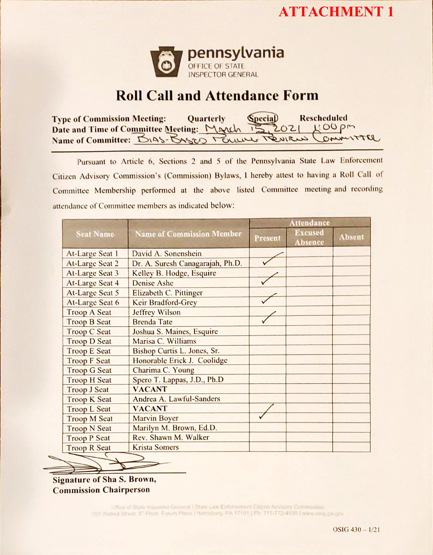



# Roll Call and Attendance Form

| <b>Type of Commission Meeting:</b>                       | <b>Quarterly</b> | <b>Special</b> | Rescheduled |
|----------------------------------------------------------|------------------|----------------|-------------|
| Date and Time of Committee Meeting: March 15, 2021 HOOpm |                  |                |             |
| Name of Committee: DIAS-BASED Pour Review Committee      |                  |                |             |

Pursuant to Article 6, Sections 2 and 5 of the Pennsylvania State Law Enforcement Citizen Advisory Commission's (Commission) Bylaws, I hereby attest to having a Roll Call of Committee Membership performed at the above listed Conunittee meeting and recording attendance of Committee members as indicated below:

|                        |                                  | <b>Attendance</b> |                                  |               |  |
|------------------------|----------------------------------|-------------------|----------------------------------|---------------|--|
| <b>Seat Name</b>       | <b>Name of Commission Member</b> | <b>Present</b>    | <b>Excused</b><br><b>Absence</b> | <b>Absent</b> |  |
| <b>At-Large Seat 1</b> | David A. Sonenshein              |                   |                                  |               |  |
| <b>At-Large Seat 2</b> | Dr. A. Suresh Canagarajah, Ph.D. |                   |                                  |               |  |
| <b>At-Large Seat 3</b> | Kelley B. Hodge, Esquire         |                   |                                  |               |  |
| <b>At-Large Seat 4</b> | <b>Denise Ashe</b>               |                   |                                  |               |  |
| <b>At-Large Seat 5</b> | Elizabeth C. Pittinger           |                   |                                  |               |  |
| <b>At-Large Seat 6</b> | <b>Keir Bradford-Grey</b>        |                   |                                  |               |  |
| <b>Troop A Seat</b>    | <b>Jeffrey Wilson</b>            |                   |                                  |               |  |
| <b>Troop B Seat</b>    | <b>Brenda Tate</b>               |                   |                                  |               |  |
| <b>Troop C Seat</b>    | Joshua S. Maines, Esquire        |                   |                                  |               |  |
| <b>Troop D Seat</b>    | Marisa C. Williams               |                   |                                  |               |  |
| <b>Troop E Seat</b>    | Bishop Curtis L. Jones, Sr.      |                   |                                  |               |  |
| <b>Troop F Seat</b>    | Honorable Erick J. Coolidge      |                   |                                  |               |  |
| <b>Troop G Seat</b>    | Charima C. Young                 |                   |                                  |               |  |
| <b>Troop H Seat</b>    | Spero T. Lappas, J.D., Ph.D      |                   |                                  |               |  |
| <b>Troop J Seat</b>    | <b>VACANT</b>                    |                   |                                  |               |  |
| <b>Troop K Seat</b>    | Andrea A. Lawful-Sanders         |                   |                                  |               |  |
| <b>Troop L Seat</b>    | <b>VACANT</b>                    |                   |                                  |               |  |
| <b>Troop M Seat</b>    | <b>Marvin Boyer</b>              |                   |                                  |               |  |
| <b>Troop N Seat</b>    | Marilyn M. Brown, Ed.D.          |                   |                                  |               |  |
| <b>Troop P Seat</b>    | Rev. Shawn M. Walker             |                   |                                  |               |  |
| <b>Troop R Seat</b>    | <b>Krista Somers</b>             |                   |                                  |               |  |

Signature of Sha S. Brown, Commission Chairperson

> Office of State Inspector General | State Law Enforcement Citizen Advisory Commission 555 Walnut Street, 8th Floor, Forum Place | Harrisburg, PA 17101 | Ph: 717-772-4935 | www.osig.pa.gov